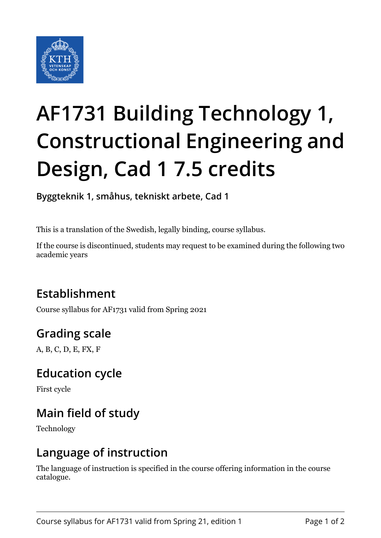

# **AF1731 Building Technology 1, Constructional Engineering and Design, Cad 1 7.5 credits**

**Byggteknik 1, småhus, tekniskt arbete, Cad 1**

This is a translation of the Swedish, legally binding, course syllabus.

If the course is discontinued, students may request to be examined during the following two academic years

# **Establishment**

Course syllabus for AF1731 valid from Spring 2021

# **Grading scale**

A, B, C, D, E, FX, F

#### **Education cycle**

First cycle

# **Main field of study**

Technology

#### **Language of instruction**

The language of instruction is specified in the course offering information in the course catalogue.